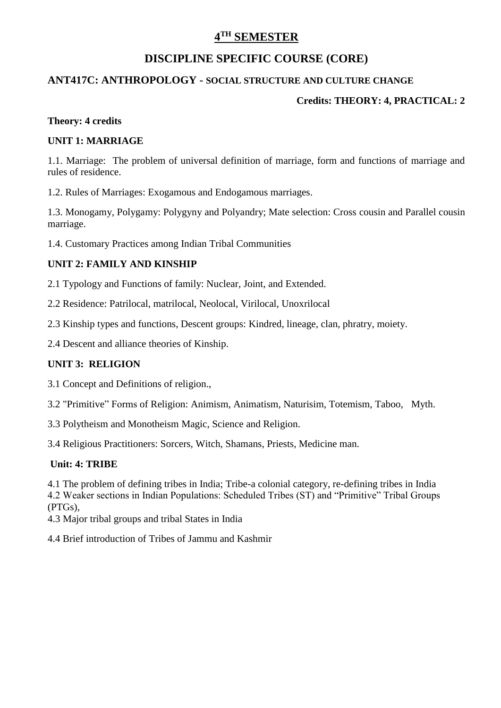# **4 TH SEMESTER**

# **DISCIPLINE SPECIFIC COURSE (CORE)**

## **ANT417C: ANTHROPOLOGY - SOCIAL STRUCTURE AND CULTURE CHANGE**

## **Credits: THEORY: 4, PRACTICAL: 2**

#### **Theory: 4 credits**

#### **UNIT 1: MARRIAGE**

1.1. Marriage: The problem of universal definition of marriage, form and functions of marriage and rules of residence.

1.2. Rules of Marriages: Exogamous and Endogamous marriages.

1.3. Monogamy, Polygamy: Polygyny and Polyandry; Mate selection: Cross cousin and Parallel cousin marriage.

1.4. Customary Practices among Indian Tribal Communities

#### **UNIT 2: FAMILY AND KINSHIP**

2.1 Typology and Functions of family: Nuclear, Joint, and Extended.

2.2 Residence: Patrilocal, matrilocal, Neolocal, Virilocal, Unoxrilocal

2.3 Kinship types and functions, Descent groups: Kindred, lineage, clan, phratry, moiety.

2.4 Descent and alliance theories of Kinship.

# **UNIT 3: RELIGION**

3.1 Concept and Definitions of religion.,

3.2 "Primitive" Forms of Religion: Animism, Animatism, Naturisim, Totemism, Taboo, Myth.

3.3 Polytheism and Monotheism Magic, Science and Religion.

3.4 Religious Practitioners: Sorcers, Witch, Shamans, Priests, Medicine man.

#### **Unit: 4: TRIBE**

4.1 The problem of defining tribes in India; Tribe-a colonial category, re-defining tribes in India

4.2 Weaker sections in Indian Populations: Scheduled Tribes (ST) and "Primitive" Tribal Groups (PTGs),

4.3 Major tribal groups and tribal States in India

4.4 Brief introduction of Tribes of Jammu and Kashmir